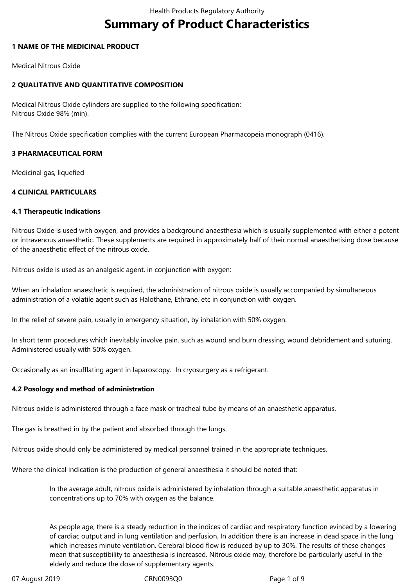# **Summary of Product Characteristics**

## **1 NAME OF THE MEDICINAL PRODUCT**

Medical Nitrous Oxide

# **2 QUALITATIVE AND QUANTITATIVE COMPOSITION**

Medical Nitrous Oxide cylinders are supplied to the following specification: Nitrous Oxide 98% (min).

The Nitrous Oxide specification complies with the current European Pharmacopeia monograph (0416).

# **3 PHARMACEUTICAL FORM**

Medicinal gas, liquefied

# **4 CLINICAL PARTICULARS**

# **4.1 Therapeutic Indications**

Nitrous Oxide is used with oxygen, and provides a background anaesthesia which is usually supplemented with either a potent or intravenous anaesthetic. These supplements are required in approximately half of their normal anaesthetising dose because of the anaesthetic effect of the nitrous oxide.

Nitrous oxide is used as an analgesic agent, in conjunction with oxygen:

When an inhalation anaesthetic is required, the administration of nitrous oxide is usually accompanied by simultaneous administration of a volatile agent such as Halothane, Ethrane, etc in conjunction with oxygen.

In the relief of severe pain, usually in emergency situation, by inhalation with 50% oxygen.

In short term procedures which inevitably involve pain, such as wound and burn dressing, wound debridement and suturing. Administered usually with 50% oxygen.

Occasionally as an insufflating agent in laparoscopy. In cryosurgery as a refrigerant.

# **4.2 Posology and method of administration**

Nitrous oxide is administered through a face mask or tracheal tube by means of an anaesthetic apparatus.

The gas is breathed in by the patient and absorbed through the lungs.

Nitrous oxide should only be administered by medical personnel trained in the appropriate techniques.

Where the clinical indication is the production of general anaesthesia it should be noted that:

In the average adult, nitrous oxide is administered by inhalation through a suitable anaesthetic apparatus in concentrations up to 70% with oxygen as the balance.

As people age, there is a steady reduction in the indices of cardiac and respiratory function evinced by a lowering of cardiac output and in lung ventilation and perfusion. In addition there is an increase in dead space in the lung which increases minute ventilation. Cerebral blood flow is reduced by up to 30%. The results of these changes mean that susceptibility to anaesthesia is increased. Nitrous oxide may, therefore be particularly useful in the elderly and reduce the dose of supplementary agents.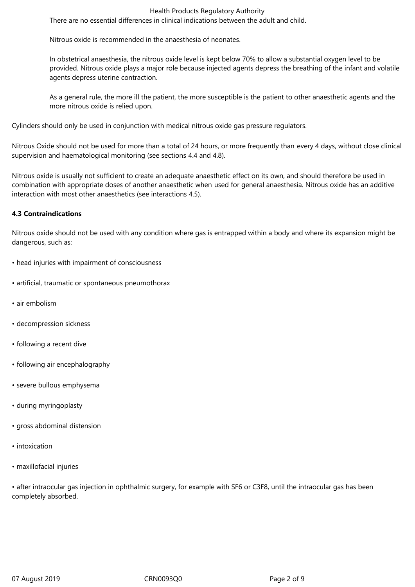#### Health Products Regulatory Authority

There are no essential differences in clinical indications between the adult and child.

Nitrous oxide is recommended in the anaesthesia of neonates.

In obstetrical anaesthesia, the nitrous oxide level is kept below 70% to allow a substantial oxygen level to be provided. Nitrous oxide plays a major role because injected agents depress the breathing of the infant and volatile agents depress uterine contraction.

As a general rule, the more ill the patient, the more susceptible is the patient to other anaesthetic agents and the more nitrous oxide is relied upon.

Cylinders should only be used in conjunction with medical nitrous oxide gas pressure regulators.

Nitrous Oxide should not be used for more than a total of 24 hours, or more frequently than every 4 days, without close clinical supervision and haematological monitoring (see sections 4.4 and 4.8).

Nitrous oxide is usually not sufficient to create an adequate anaesthetic effect on its own, and should therefore be used in combination with appropriate doses of another anaesthetic when used for general anaesthesia. Nitrous oxide has an additive interaction with most other anaesthetics (see interactions 4.5).

# **4.3 Contraindications**

Nitrous oxide should not be used with any condition where gas is entrapped within a body and where its expansion might be dangerous, such as:

- head injuries with impairment of consciousness
- artificial, traumatic or spontaneous pneumothorax
- air embolism
- decompression sickness
- following a recent dive
- following air encephalography
- severe bullous emphysema
- during myringoplasty
- gross abdominal distension
- intoxication
- maxillofacial injuries

• after intraocular gas injection in ophthalmic surgery, for example with SF6 or C3F8, until the intraocular gas has been completely absorbed.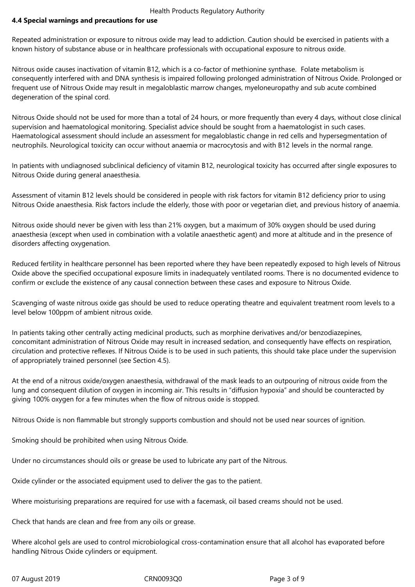#### Health Products Regulatory Authority

# **4.4 Special warnings and precautions for use**

Repeated administration or exposure to nitrous oxide may lead to addiction. Caution should be exercised in patients with a known history of substance abuse or in healthcare professionals with occupational exposure to nitrous oxide.

Nitrous oxide causes inactivation of vitamin B12, which is a co-factor of methionine synthase. Folate metabolism is consequently interfered with and DNA synthesis is impaired following prolonged administration of Nitrous Oxide. Prolonged or frequent use of Nitrous Oxide may result in megaloblastic marrow changes, myeloneuropathy and sub acute combined degeneration of the spinal cord.

Nitrous Oxide should not be used for more than a total of 24 hours, or more frequently than every 4 days, without close clinical supervision and haematological monitoring. Specialist advice should be sought from a haematologist in such cases. Haematological assessment should include an assessment for megaloblastic change in red cells and hypersegmentation of neutrophils. Neurological toxicity can occur without anaemia or macrocytosis and with B12 levels in the normal range.

In patients with undiagnosed subclinical deficiency of vitamin B12, neurological toxicity has occurred after single exposures to Nitrous Oxide during general anaesthesia.

Assessment of vitamin B12 levels should be considered in people with risk factors for vitamin B12 deficiency prior to using Nitrous Oxide anaesthesia. Risk factors include the elderly, those with poor or vegetarian diet, and previous history of anaemia.

Nitrous oxide should never be given with less than 21% oxygen, but a maximum of 30% oxygen should be used during anaesthesia (except when used in combination with a volatile anaesthetic agent) and more at altitude and in the presence of disorders affecting oxygenation.

Reduced fertility in healthcare personnel has been reported where they have been repeatedly exposed to high levels of Nitrous Oxide above the specified occupational exposure limits in inadequately ventilated rooms. There is no documented evidence to confirm or exclude the existence of any causal connection between these cases and exposure to Nitrous Oxide.

Scavenging of waste nitrous oxide gas should be used to reduce operating theatre and equivalent treatment room levels to a level below 100ppm of ambient nitrous oxide.

In patients taking other centrally acting medicinal products, such as morphine derivatives and/or benzodiazepines, concomitant administration of Nitrous Oxide may result in increased sedation, and consequently have effects on respiration, circulation and protective reflexes. If Nitrous Oxide is to be used in such patients, this should take place under the supervision of appropriately trained personnel (see Section 4.5).

At the end of a nitrous oxide/oxygen anaesthesia, withdrawal of the mask leads to an outpouring of nitrous oxide from the lung and consequent dilution of oxygen in incoming air. This results in "diffusion hypoxia" and should be counteracted by giving 100% oxygen for a few minutes when the flow of nitrous oxide is stopped.

Nitrous Oxide is non flammable but strongly supports combustion and should not be used near sources of ignition.

Smoking should be prohibited when using Nitrous Oxide.

Under no circumstances should oils or grease be used to lubricate any part of the Nitrous.

Oxide cylinder or the associated equipment used to deliver the gas to the patient.

Where moisturising preparations are required for use with a facemask, oil based creams should not be used.

Check that hands are clean and free from any oils or grease.

Where alcohol gels are used to control microbiological cross-contamination ensure that all alcohol has evaporated before handling Nitrous Oxide cylinders or equipment.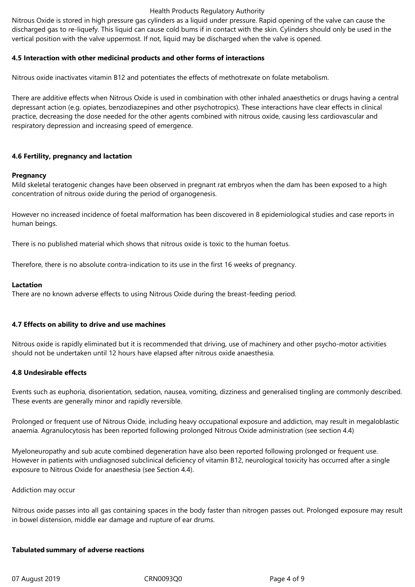#### Health Products Regulatory Authority

Nitrous Oxide is stored in high pressure gas cylinders as a liquid under pressure. Rapid opening of the valve can cause the discharged gas to re-liquefy. This liquid can cause cold bums if in contact with the skin. Cylinders should only be used in the vertical position with the valve uppermost. If not, liquid may be discharged when the valve is opened.

## **4.5 Interaction with other medicinal products and other forms of interactions**

Nitrous oxide inactivates vitamin B12 and potentiates the effects of methotrexate on folate metabolism.

There are additive effects when Nitrous Oxide is used in combination with other inhaled anaesthetics or drugs having a central depressant action (e.g. opiates, benzodiazepines and other psychotropics). These interactions have clear effects in clinical practice, decreasing the dose needed for the other agents combined with nitrous oxide, causing less cardiovascular and respiratory depression and increasing speed of emergence.

# **4.6 Fertility, pregnancy and lactation**

## **Pregnancy**

Mild skeletal teratogenic changes have been observed in pregnant rat embryos when the dam has been exposed to a high concentration of nitrous oxide during the period of organogenesis.

However no increased incidence of foetal malformation has been discovered in 8 epidemiological studies and case reports in human beings.

There is no published material which shows that nitrous oxide is toxic to the human foetus.

Therefore, there is no absolute contra-indication to its use in the first 16 weeks of pregnancy.

#### **Lactation**

There are no known adverse effects to using Nitrous Oxide during the breast-feeding period.

## **4.7 Effects on ability to drive and use machines**

Nitrous oxide is rapidly eliminated but it is recommended that driving, use of machinery and other psycho-motor activities should not be undertaken until 12 hours have elapsed after nitrous oxide anaesthesia.

## **4.8 Undesirable effects**

Events such as euphoria, disorientation, sedation, nausea, vomiting, dizziness and generalised tingling are commonly described. These events are generally minor and rapidly reversible.

Prolonged or frequent use of Nitrous Oxide, including heavy occupational exposure and addiction, may result in megaloblastic anaemia. Agranulocytosis has been reported following prolonged Nitrous Oxide administration (see section 4.4)

Myeloneuropathy and sub acute combined degeneration have also been reported following prolonged or frequent use. However in patients with undiagnosed subclinical deficiency of vitamin B12, neurological toxicity has occurred after a single exposure to Nitrous Oxide for anaesthesia (see Section 4.4).

## Addiction may occur

Nitrous oxide passes into all gas containing spaces in the body faster than nitrogen passes out. Prolonged exposure may result in bowel distension, middle ear damage and rupture of ear drums.

#### **Tabulated summary of adverse reactions**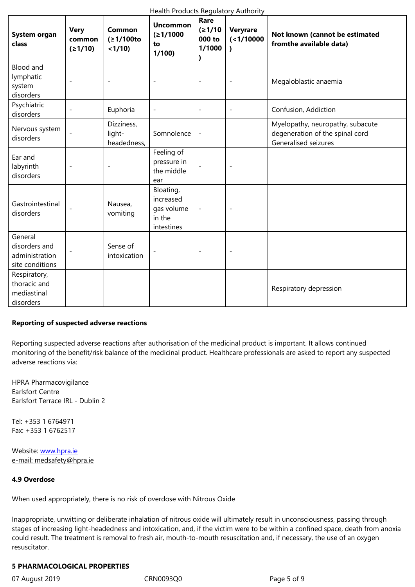| <b>aystem organ</b><br>class                                  | common<br>(≥1/10)        | (≥1/100to<br>< 1/10                 | <u>15171000</u><br>to<br>1/100                               | 000 to<br>1/1000         | $($ < 1/10000            | <b>NOT KIIOWII (Califot De estimateu</b><br>fromthe available data)                         |  |
|---------------------------------------------------------------|--------------------------|-------------------------------------|--------------------------------------------------------------|--------------------------|--------------------------|---------------------------------------------------------------------------------------------|--|
| <b>Blood and</b><br>lymphatic<br>system<br>disorders          | $\overline{\phantom{a}}$ | $\overline{\phantom{a}}$            | $\overline{a}$                                               | $\overline{\phantom{a}}$ | $\overline{\phantom{a}}$ | Megaloblastic anaemia                                                                       |  |
| Psychiatric<br>disorders                                      |                          | Euphoria                            | $\overline{\phantom{a}}$                                     | $\overline{\phantom{0}}$ | $\overline{\phantom{a}}$ | Confusion, Addiction                                                                        |  |
| Nervous system<br>disorders                                   |                          | Dizziness,<br>light-<br>headedness, | Somnolence                                                   | $\overline{\phantom{a}}$ |                          | Myelopathy, neuropathy, subacute<br>degeneration of the spinal cord<br>Generalised seizures |  |
| Ear and<br>labyrinth<br>disorders                             | $\overline{a}$           |                                     | Feeling of<br>pressure in<br>the middle<br>ear               |                          | $\overline{\phantom{a}}$ |                                                                                             |  |
| Gastrointestinal<br>disorders                                 |                          | Nausea,<br>vomiting                 | Bloating,<br>increased<br>gas volume<br>in the<br>intestines |                          | $\overline{\phantom{a}}$ |                                                                                             |  |
| General<br>disorders and<br>administration<br>site conditions |                          | Sense of<br>intoxication            |                                                              |                          |                          |                                                                                             |  |
| Respiratory,<br>thoracic and<br>mediastinal<br>disorders      |                          |                                     |                                                              |                          |                          | Respiratory depression                                                                      |  |

## **Reporting of suspected adverse reactions**

Reporting suspected adverse reactions after authorisation of the medicinal product is important. It allows continued monitoring of the benefit/risk balance of the medicinal product. Healthcare professionals are asked to report any suspected adverse reactions via:

HPRA Pharmacovigilance Earlsfort Centre Earlsfort Terrace IRL - Dublin 2

Tel:+35316764971 Fax:+35316762517

Website: www.hpra.ie e-mail: medsafety@hpra.ie

#### **4.9 Over[dose](http://www.hpra.ie/)**

When used appropriately, there is no risk of overdose with Nitrous Oxide

Inappropriate, unwitting or deliberate inhalation of nitrous oxide will ultimately result in unconsciousness, passing through stages of increasing light-headedness and intoxication, and, if the victim were to be within a confined space, death from anoxia could result. The treatment is removal to fresh air, mouth-to-mouth resuscitation and, if necessary, the use of an oxygen resuscitator.

#### **5 PHARMACOLOGICAL PROPERTIES**

07 August 2019 **CRN0093Q0** CRN0093Q0 Page 5 of 9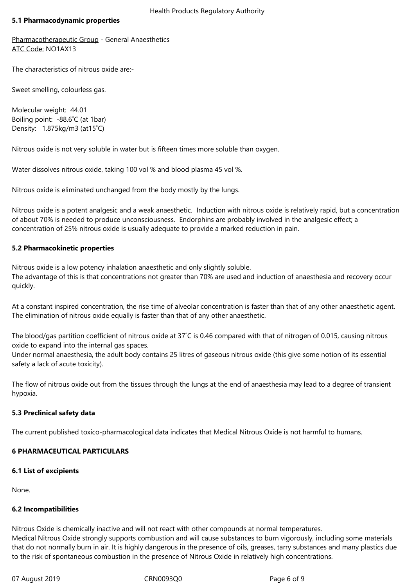#### **5.1 Pharmacodynamic properties**

Pharmacotherapeutic Group - General Anaesthetics ATC Code: NO1AX13

The characteristics of nitrous oxide are:-

Sweet smelling, colourless gas.

Molecular weight: 44.01 Boiling point: -88.6°C (at 1bar) Density: 1.875kg/m3(at15˚C)

Nitrous oxide is not very soluble in water but is fifteen times more soluble than oxygen.

Water dissolves nitrous oxide, taking 100 vol % and blood plasma 45 vol %.

Nitrous oxide is eliminated unchanged from the body mostly by the lungs.

Nitrous oxide is a potent analgesic and a weak anaesthetic. Induction with nitrous oxide is relatively rapid, but a concentration of about 70% is needed to produce unconsciousness. Endorphins are probably involved in the analgesic effect; a concentration of 25% nitrous oxide is usually adequate to provide a marked reduction in pain.

#### **5.2 Pharmacokinetic properties**

Nitrous oxide is a low potency inhalation anaesthetic and only slightly soluble. The advantage of this is that concentrations not greater than 70% are used and induction of anaesthesia and recovery occur quickly.

At a constant inspired concentration, the rise time of alveolar concentration is faster than that of any other anaesthetic agent. The elimination of nitrous oxide equally is faster than that of any other anaesthetic.

The blood/gas partition coefficient of nitrous oxide at 37°C is 0.46 compared with that of nitrogen of 0.015, causing nitrous oxide to expand into the internal gas spaces.

Under normal anaesthesia, the adult body contains 25 litres of gaseous nitrous oxide (this give some notion of its essential safety a lack of acute toxicity).

The flow of nitrous oxide out from the tissues through the lungs at the end of anaesthesia may lead to a degree of transient hypoxia.

## **5.3 Preclinical safety data**

The current published toxico-pharmacological data indicates that Medical Nitrous Oxide is not harmful to humans.

## **6 PHARMACEUTICAL PARTICULARS**

## **6.1 List of excipients**

None.

## **6.2 Incompatibilities**

Nitrous Oxide is chemically inactive and will not react with other compounds at normal temperatures. Medical Nitrous Oxide strongly supports combustion and will cause substances to burn vigorously, including some materials that do not normally burn in air. It is highly dangerous in the presence of oils, greases, tarry substances and many plastics due to the risk of spontaneous combustion in the presence of Nitrous Oxide in relatively high concentrations.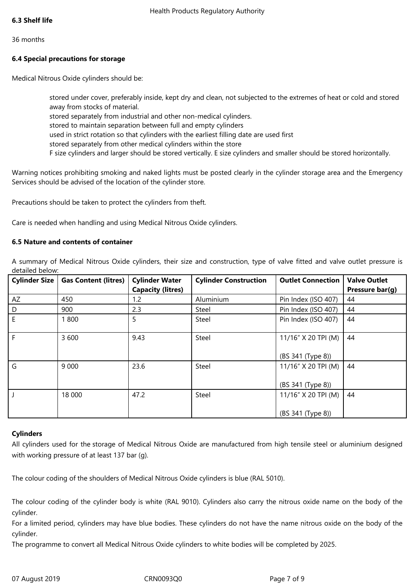#### 36months

## **6.4 Special precautions for storage**

Medical Nitrous Oxide cylinders should be:

stored under cover, preferably inside, kept dry and clean, not subjected to the extremes of heat or cold and stored away from stocks of material. stored separately from industrial and other non-medical cylinders. stored to maintain separation between full and empty cylinders used in strict rotation so that cylinders with the earliest filling date are used first stored separately from other medical cylinders within the store F size cylinders and larger should be stored vertically. E size cylinders and smaller should be stored horizontally.

Warning notices prohibiting smoking and naked lights must be posted clearly in the cylinder storage area and the Emergency Services should be advised of the location of the cylinder store.

Precautions should be taken to protect the cylinders from theft.

Care is needed when handling and using Medical Nitrous Oxide cylinders.

#### **6.5 Nature and contents of container**

A summary of Medical Nitrous Oxide cylinders, their size and construction, type of valve fitted and valve outlet pressure is detailed below:

| <b>Cylinder Size</b> | <b>Gas Content (litres)</b> | <b>Cylinder Water</b><br><b>Capacity (litres)</b> | <b>Cylinder Construction</b> | <b>Outlet Connection</b>                 | <b>Valve Outlet</b><br>Pressure bar(g) |
|----------------------|-----------------------------|---------------------------------------------------|------------------------------|------------------------------------------|----------------------------------------|
| AZ                   | 450                         | 1.2                                               | Aluminium                    | Pin Index (ISO 407)                      | 44                                     |
| D                    | 900                         | 2.3                                               | Steel                        | Pin Index (ISO 407)                      | 44                                     |
| E                    | 1800                        | 5                                                 | Steel                        | Pin Index (ISO 407)                      | 44                                     |
| F                    | 3 600                       | 9.43                                              | Steel                        | 11/16" X 20 TPI (M)<br>(BS 341 (Type 8)) | 44                                     |
| G                    | 9 0 0 0                     | 23.6                                              | Steel                        | 11/16" X 20 TPI (M)<br>(BS 341 (Type 8)) | 44                                     |
|                      | 18 000                      | 47.2                                              | Steel                        | 11/16" X 20 TPI (M)<br>(BS 341 (Type 8)) | 44                                     |

#### **Cylinders**

All cylinders used for the storage of Medical Nitrous Oxide are manufactured from high tensile steel or aluminium designed with working pressure of at least 137 bar (g).

The colour coding of the shoulders of Medical Nitrous Oxide cylinders is blue (RAL 5010).

The colour coding of the cylinder body is white (RAL 9010). Cylinders also carry the nitrous oxide name on the body of the cylinder.

For a limited period, cylinders may have blue bodies. These cylinders do not have the name nitrous oxide on the body of the cylinder.

The programme to convert all Medical Nitrous Oxide cylinders to white bodies will be completed by 2025.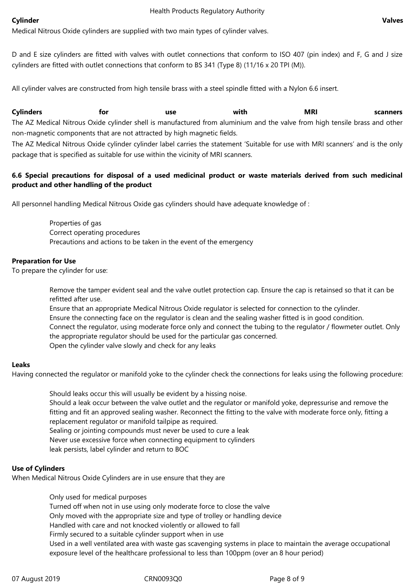#### **Cylinder Valves**

Medical Nitrous Oxide cylinders are supplied with two main types of cylinder valves.

D and E size cylinders are fitted with valves with outlet connections that conform to ISO 407 (pin index) and F, G and J size cylinders are fitted with outlet connections that conform to BS 341 (Type 8) (11/16 x 20 TPI (M)).

All cylinder valves are constructed from high tensile brass with a steel spindle fitted with a Nylon 6.6 insert.

**Cylinders for use with MRI scanners** The AZ Medical Nitrous Oxide cylinder shell is manufactured from aluminium and the valve from high tensile brass and other non-magnetic components that are not attracted by high magnetic fields.

The AZ Medical Nitrous Oxide cylinder cylinder label carries the statement 'Suitable for use with MRI scanners' and is the only package that is specified as suitable for use within the vicinity of MRI scanners.

# 6.6 Special precautions for disposal of a used medicinal product or waste materials derived from such medicinal **product and other handling of the product**

All personnel handling Medical Nitrous Oxide gas cylinders should have adequate knowledge of:

Properties of gas Correct operating procedures Precautions and actions to be taken in the event of the emergency

## **Preparation for Use**

To prepare the cylinder for use:

Remove the tamper evident seal and the valve outlet protection cap. Ensure the cap is retainsed so that it can be refitted after use.

Ensure that an appropriate Medical Nitrous Oxide regulator is selected for connection to the cylinder. Ensure the connecting face on the regulator is clean and the sealing washer fitted is in good condition. Connect the regulator, using moderate force only and connect the tubing to the regulator / flowmeter outlet. Only the appropriate regulator should be used for the particular gas concerned. Open the cylinder valve slowly and check for any leaks

## **Leaks**

Having connected the regulator or manifold yoke to the cylinder check the connections for leaks using the following procedure:

Should leaks occur this will usually be evident by a hissing noise. Should a leak occur between the valve outlet and the regulator or manifold yoke, depressurise and remove the fitting and fit an approved sealing washer. Reconnect the fitting to the valve with moderate force only, fitting a replacement regulator or manifold tailpipe as required. Sealing or jointing compounds must never be used to cure a leak Never use excessive force when connecting equipment to cylinders leak persists, label cylinder and return to BOC

## **Use of Cylinders**

When Medical Nitrous Oxide Cylinders are in use ensure that they are

Only used for medical purposes

Turned off when not in use using only moderate force to close the valve

Only moved with the appropriate size and type of trolley or handling device

Handled with care and not knocked violently or allowed to fall

Firmly secured to a suitable cylinder support when in use

Used in a well ventilated area with waste gas scavenging systems in place to maintain the average occupational exposure level of the healthcare professional to less than 100ppm (over an 8 hour period)